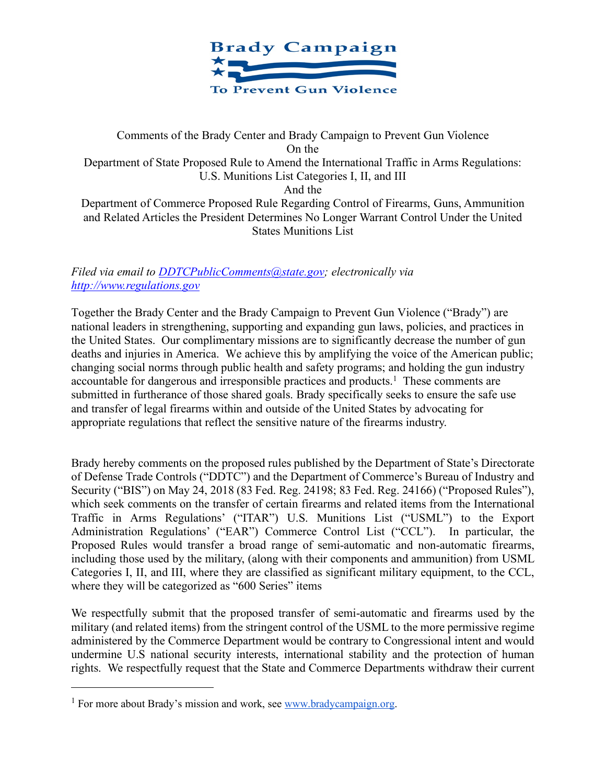

# Comments of the Brady Center and Brady Campaign to Prevent Gun Violence On the Department of State Proposed Rule to Amend the International Traffic in Arms Regulations: U.S. Munitions List Categories I, II, and III And the Department of Commerce Proposed Rule Regarding Control of Firearms, Guns, Ammunition and Related Articles the President Determines No Longer Warrant Control Under the United States Munitions List

# *Filed via email to DDTCPublicComments@state.gov; electronically via http://www.regulations.gov*

Together the Brady Center and the Brady Campaign to Prevent Gun Violence ("Brady") are national leaders in strengthening, supporting and expanding gun laws, policies, and practices in the United States. Our complimentary missions are to significantly decrease the number of gun deaths and injuries in America. We achieve this by amplifying the voice of the American public; changing social norms through public health and safety programs; and holding the gun industry accountable for dangerous and irresponsible practices and products.<sup>1</sup> These comments are submitted in furtherance of those shared goals. Brady specifically seeks to ensure the safe use and transfer of legal firearms within and outside of the United States by advocating for appropriate regulations that reflect the sensitive nature of the firearms industry.

Brady hereby comments on the proposed rules published by the Department of State's Directorate of Defense Trade Controls ("DDTC") and the Department of Commerce's Bureau of Industry and Security ("BIS") on May 24, 2018 (83 Fed. Reg. 24198; 83 Fed. Reg. 24166) ("Proposed Rules"), which seek comments on the transfer of certain firearms and related items from the International Traffic in Arms Regulations' ("ITAR") U.S. Munitions List ("USML") to the Export Administration Regulations' ("EAR") Commerce Control List ("CCL"). In particular, the Proposed Rules would transfer a broad range of semi-automatic and non-automatic firearms, including those used by the military, (along with their components and ammunition) from USML Categories I, II, and III, where they are classified as significant military equipment, to the CCL, where they will be categorized as "600 Series" items

We respectfully submit that the proposed transfer of semi-automatic and firearms used by the military (and related items) from the stringent control of the USML to the more permissive regime administered by the Commerce Department would be contrary to Congressional intent and would undermine U.S national security interests, international stability and the protection of human rights. We respectfully request that the State and Commerce Departments withdraw their current

 $\overline{a}$ 

<sup>&</sup>lt;sup>1</sup> For more about Brady's mission and work, see www.bradycampaign.org.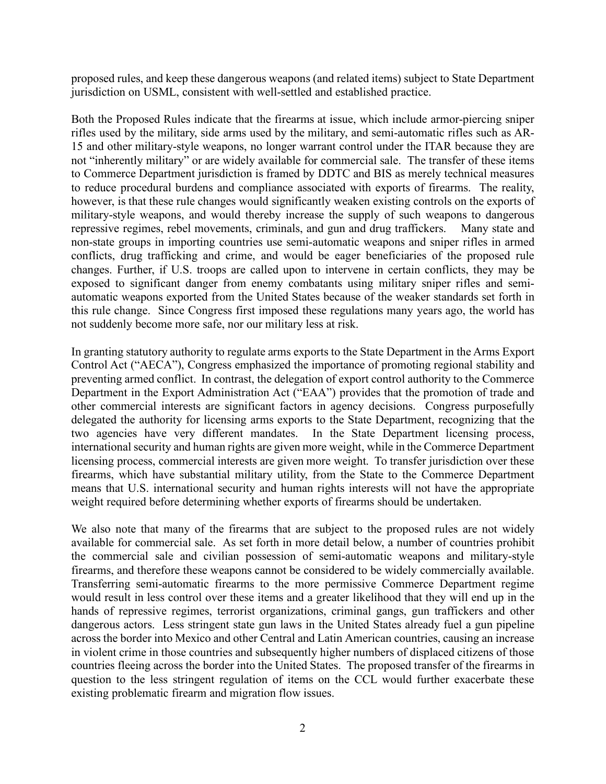proposed rules, and keep these dangerous weapons (and related items) subject to State Department jurisdiction on USML, consistent with well-settled and established practice.

Both the Proposed Rules indicate that the firearms at issue, which include armor-piercing sniper rifles used by the military, side arms used by the military, and semi-automatic rifles such as AR-15 and other military-style weapons, no longer warrant control under the ITAR because they are not "inherently military" or are widely available for commercial sale. The transfer of these items to Commerce Department jurisdiction is framed by DDTC and BIS as merely technical measures to reduce procedural burdens and compliance associated with exports of firearms. The reality, however, is that these rule changes would significantly weaken existing controls on the exports of military-style weapons, and would thereby increase the supply of such weapons to dangerous repressive regimes, rebel movements, criminals, and gun and drug traffickers. Many state and non-state groups in importing countries use semi-automatic weapons and sniper rifles in armed conflicts, drug trafficking and crime, and would be eager beneficiaries of the proposed rule changes. Further, if U.S. troops are called upon to intervene in certain conflicts, they may be exposed to significant danger from enemy combatants using military sniper rifles and semiautomatic weapons exported from the United States because of the weaker standards set forth in this rule change. Since Congress first imposed these regulations many years ago, the world has not suddenly become more safe, nor our military less at risk.

In granting statutory authority to regulate arms exports to the State Department in the Arms Export Control Act ("AECA"), Congress emphasized the importance of promoting regional stability and preventing armed conflict. In contrast, the delegation of export control authority to the Commerce Department in the Export Administration Act ("EAA") provides that the promotion of trade and other commercial interests are significant factors in agency decisions. Congress purposefully delegated the authority for licensing arms exports to the State Department, recognizing that the two agencies have very different mandates. In the State Department licensing process, international security and human rights are given more weight, while in the Commerce Department licensing process, commercial interests are given more weight. To transfer jurisdiction over these firearms, which have substantial military utility, from the State to the Commerce Department means that U.S. international security and human rights interests will not have the appropriate weight required before determining whether exports of firearms should be undertaken.

We also note that many of the firearms that are subject to the proposed rules are not widely available for commercial sale. As set forth in more detail below, a number of countries prohibit the commercial sale and civilian possession of semi-automatic weapons and military-style firearms, and therefore these weapons cannot be considered to be widely commercially available. Transferring semi-automatic firearms to the more permissive Commerce Department regime would result in less control over these items and a greater likelihood that they will end up in the hands of repressive regimes, terrorist organizations, criminal gangs, gun traffickers and other dangerous actors. Less stringent state gun laws in the United States already fuel a gun pipeline across the border into Mexico and other Central and Latin American countries, causing an increase in violent crime in those countries and subsequently higher numbers of displaced citizens of those countries fleeing across the border into the United States. The proposed transfer of the firearms in question to the less stringent regulation of items on the CCL would further exacerbate these existing problematic firearm and migration flow issues.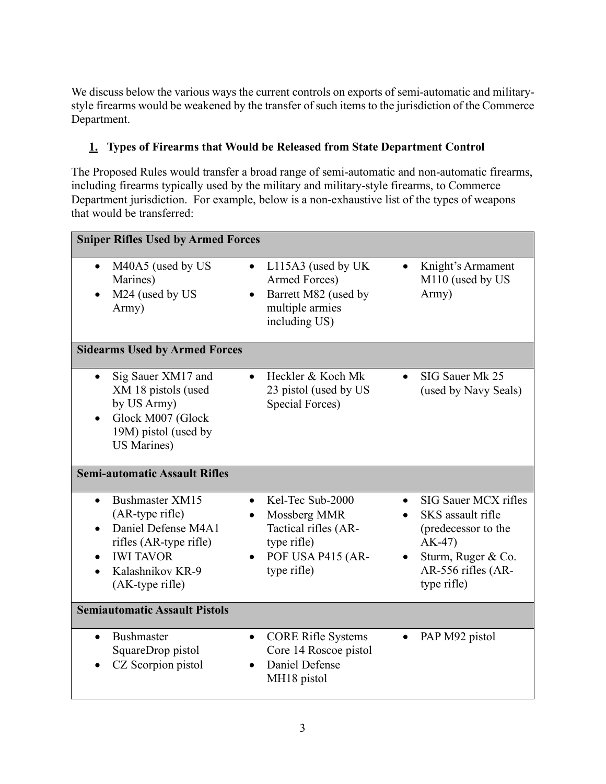We discuss below the various ways the current controls on exports of semi-automatic and militarystyle firearms would be weakened by the transfer of such items to the jurisdiction of the Commerce Department.

# **1. Types of Firearms that Would be Released from State Department Control**

The Proposed Rules would transfer a broad range of semi-automatic and non-automatic firearms, including firearms typically used by the military and military-style firearms, to Commerce Department jurisdiction. For example, below is a non-exhaustive list of the types of weapons that would be transferred:

| <b>Sniper Rifles Used by Armed Forces</b>                                                                                                      |                                                                                                                  |                                                                                                                                        |
|------------------------------------------------------------------------------------------------------------------------------------------------|------------------------------------------------------------------------------------------------------------------|----------------------------------------------------------------------------------------------------------------------------------------|
| M40A5 (used by US<br>$\bullet$<br>Marines)<br>M24 (used by US<br>Army)                                                                         | L115A3 (used by UK<br>$\bullet$<br>Armed Forces)<br>Barrett M82 (used by<br>multiple armies<br>including US)     | Knight's Armament<br>$\bullet$<br>M110 (used by US<br>Army)                                                                            |
| <b>Sidearms Used by Armed Forces</b>                                                                                                           |                                                                                                                  |                                                                                                                                        |
| Sig Sauer XM17 and<br>XM 18 pistols (used<br>by US Army)<br>Glock M007 (Glock<br>19M) pistol (used by<br><b>US Marines)</b>                    | Heckler & Koch Mk<br>23 pistol (used by US<br>Special Forces)                                                    | SIG Sauer Mk 25<br>(used by Navy Seals)                                                                                                |
| <b>Semi-automatic Assault Rifles</b>                                                                                                           |                                                                                                                  |                                                                                                                                        |
| Bushmaster XM15<br>(AR-type rifle)<br>Daniel Defense M4A1<br>rifles (AR-type rifle)<br><b>IWI TAVOR</b><br>Kalashnikov KR-9<br>(AK-type rifle) | Kel-Tec Sub-2000<br>Mossberg MMR<br>٠<br>Tactical rifles (AR-<br>type rifle)<br>POF USA P415 (AR-<br>type rifle) | SIG Sauer MCX rifles<br>SKS assault rifle<br>(predecessor to the<br>$AK-47$<br>Sturm, Ruger & Co.<br>AR-556 rifles (AR-<br>type rifle) |
| <b>Semiautomatic Assault Pistols</b>                                                                                                           |                                                                                                                  |                                                                                                                                        |
| <b>Bushmaster</b><br>SquareDrop pistol<br>CZ Scorpion pistol                                                                                   | <b>CORE Rifle Systems</b><br>$\bullet$<br>Core 14 Roscoe pistol<br>Daniel Defense<br>$\bullet$<br>MH18 pistol    | PAP M92 pistol                                                                                                                         |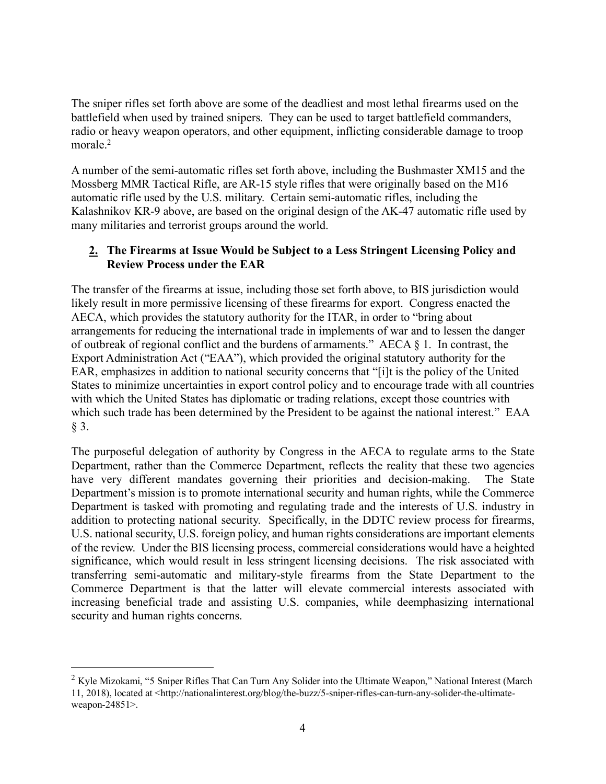The sniper rifles set forth above are some of the deadliest and most lethal firearms used on the battlefield when used by trained snipers. They can be used to target battlefield commanders, radio or heavy weapon operators, and other equipment, inflicting considerable damage to troop morale.<sup>2</sup>

A number of the semi-automatic rifles set forth above, including the Bushmaster XM15 and the Mossberg MMR Tactical Rifle, are AR-15 style rifles that were originally based on the M16 automatic rifle used by the U.S. military. Certain semi-automatic rifles, including the Kalashnikov KR-9 above, are based on the original design of the AK-47 automatic rifle used by many militaries and terrorist groups around the world.

# **2. The Firearms at Issue Would be Subject to a Less Stringent Licensing Policy and Review Process under the EAR**

The transfer of the firearms at issue, including those set forth above, to BIS jurisdiction would likely result in more permissive licensing of these firearms for export. Congress enacted the AECA, which provides the statutory authority for the ITAR, in order to "bring about arrangements for reducing the international trade in implements of war and to lessen the danger of outbreak of regional conflict and the burdens of armaments." AECA § 1. In contrast, the Export Administration Act ("EAA"), which provided the original statutory authority for the EAR, emphasizes in addition to national security concerns that "[i]t is the policy of the United States to minimize uncertainties in export control policy and to encourage trade with all countries with which the United States has diplomatic or trading relations, except those countries with which such trade has been determined by the President to be against the national interest." EAA § 3.

The purposeful delegation of authority by Congress in the AECA to regulate arms to the State Department, rather than the Commerce Department, reflects the reality that these two agencies have very different mandates governing their priorities and decision-making. The State Department's mission is to promote international security and human rights, while the Commerce Department is tasked with promoting and regulating trade and the interests of U.S. industry in addition to protecting national security. Specifically, in the DDTC review process for firearms, U.S. national security, U.S. foreign policy, and human rights considerations are important elements of the review. Under the BIS licensing process, commercial considerations would have a heighted significance, which would result in less stringent licensing decisions. The risk associated with transferring semi-automatic and military-style firearms from the State Department to the Commerce Department is that the latter will elevate commercial interests associated with increasing beneficial trade and assisting U.S. companies, while deemphasizing international security and human rights concerns.

<sup>&</sup>lt;sup>2</sup> Kyle Mizokami, "5 Sniper Rifles That Can Turn Any Solider into the Ultimate Weapon," National Interest (March 11, 2018), located at <http://nationalinterest.org/blog/the-buzz/5-sniper-rifles-can-turn-any-solider-the-ultimateweapon-24851>.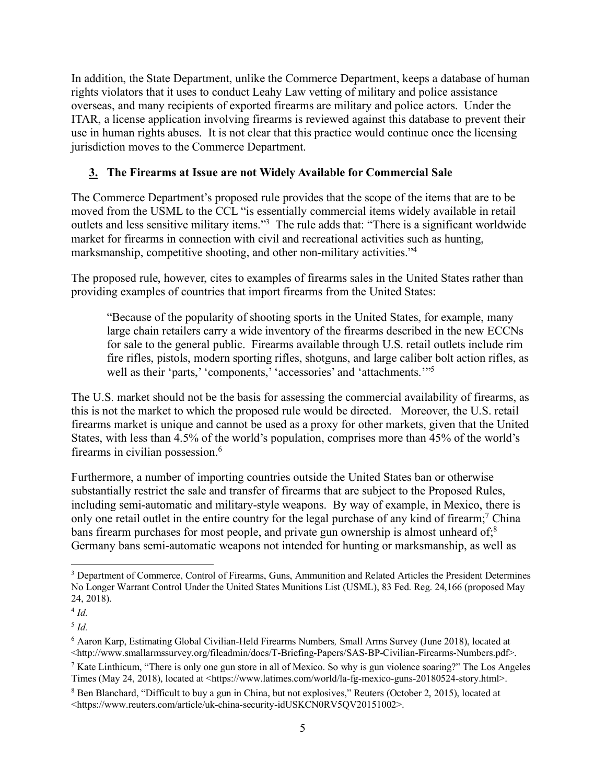In addition, the State Department, unlike the Commerce Department, keeps a database of human rights violators that it uses to conduct Leahy Law vetting of military and police assistance overseas, and many recipients of exported firearms are military and police actors. Under the ITAR, a license application involving firearms is reviewed against this database to prevent their use in human rights abuses. It is not clear that this practice would continue once the licensing jurisdiction moves to the Commerce Department.

# **3. The Firearms at Issue are not Widely Available for Commercial Sale**

The Commerce Department's proposed rule provides that the scope of the items that are to be moved from the USML to the CCL "is essentially commercial items widely available in retail outlets and less sensitive military items."3 The rule adds that: "There is a significant worldwide market for firearms in connection with civil and recreational activities such as hunting, marksmanship, competitive shooting, and other non-military activities."4

The proposed rule, however, cites to examples of firearms sales in the United States rather than providing examples of countries that import firearms from the United States:

"Because of the popularity of shooting sports in the United States, for example, many large chain retailers carry a wide inventory of the firearms described in the new ECCNs for sale to the general public. Firearms available through U.S. retail outlets include rim fire rifles, pistols, modern sporting rifles, shotguns, and large caliber bolt action rifles, as well as their 'parts,' 'components,' 'accessories' and 'attachments.'"<sup>5</sup>

The U.S. market should not be the basis for assessing the commercial availability of firearms, as this is not the market to which the proposed rule would be directed. Moreover, the U.S. retail firearms market is unique and cannot be used as a proxy for other markets, given that the United States, with less than 4.5% of the world's population, comprises more than 45% of the world's firearms in civilian possession.6

Furthermore, a number of importing countries outside the United States ban or otherwise substantially restrict the sale and transfer of firearms that are subject to the Proposed Rules, including semi-automatic and military-style weapons. By way of example, in Mexico, there is only one retail outlet in the entire country for the legal purchase of any kind of firearm;<sup>7</sup> China bans firearm purchases for most people, and private gun ownership is almost unheard of;<sup>8</sup> Germany bans semi-automatic weapons not intended for hunting or marksmanship, as well as

 <sup>3</sup> Department of Commerce, Control of Firearms, Guns, Ammunition and Related Articles the President Determines No Longer Warrant Control Under the United States Munitions List (USML), 83 Fed. Reg. 24,166 (proposed May 24, 2018).

 $4$  *Id.* 

<sup>5</sup> *Id.*

<sup>6</sup> Aaron Karp, Estimating Global Civilian-Held Firearms Numbers*,* Small Arms Survey (June 2018), located at <http://www.smallarmssurvey.org/fileadmin/docs/T-Briefing-Papers/SAS-BP-Civilian-Firearms-Numbers.pdf>.

<sup>&</sup>lt;sup>7</sup> Kate Linthicum, "There is only one gun store in all of Mexico. So why is gun violence soaring?" The Los Angeles Times (May 24, 2018), located at <https://www.latimes.com/world/la-fg-mexico-guns-20180524-story.html>.

<sup>8</sup> Ben Blanchard, "Difficult to buy a gun in China, but not explosives," Reuters (October 2, 2015), located at <https://www.reuters.com/article/uk-china-security-idUSKCN0RV5QV20151002>.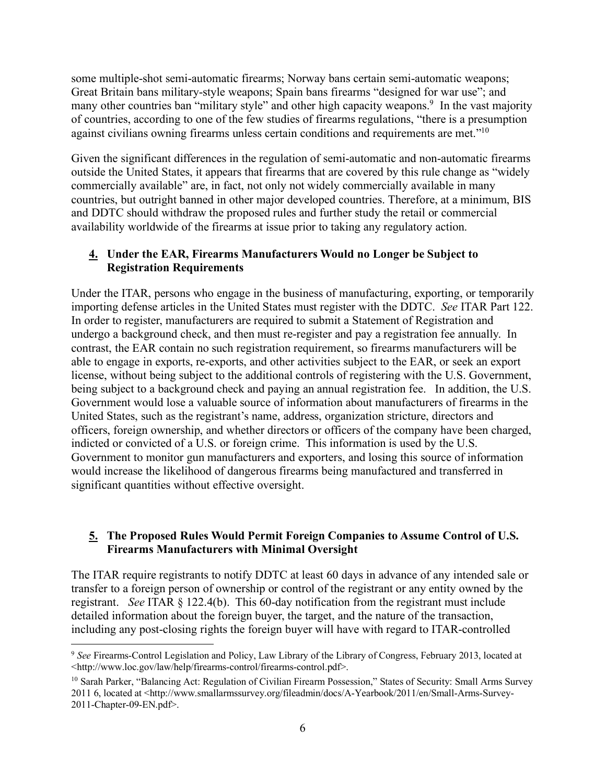some multiple-shot semi-automatic firearms; Norway bans certain semi-automatic weapons; Great Britain bans military-style weapons; Spain bans firearms "designed for war use"; and many other countries ban "military style" and other high capacity weapons.<sup>9</sup> In the vast majority of countries, according to one of the few studies of firearms regulations, "there is a presumption against civilians owning firearms unless certain conditions and requirements are met."10

Given the significant differences in the regulation of semi-automatic and non-automatic firearms outside the United States, it appears that firearms that are covered by this rule change as "widely commercially available" are, in fact, not only not widely commercially available in many countries, but outright banned in other major developed countries. Therefore, at a minimum, BIS and DDTC should withdraw the proposed rules and further study the retail or commercial availability worldwide of the firearms at issue prior to taking any regulatory action.

#### **4. Under the EAR, Firearms Manufacturers Would no Longer be Subject to Registration Requirements**

Under the ITAR, persons who engage in the business of manufacturing, exporting, or temporarily importing defense articles in the United States must register with the DDTC. *See* ITAR Part 122. In order to register, manufacturers are required to submit a Statement of Registration and undergo a background check, and then must re-register and pay a registration fee annually. In contrast, the EAR contain no such registration requirement, so firearms manufacturers will be able to engage in exports, re-exports, and other activities subject to the EAR, or seek an export license, without being subject to the additional controls of registering with the U.S. Government, being subject to a background check and paying an annual registration fee. In addition, the U.S. Government would lose a valuable source of information about manufacturers of firearms in the United States, such as the registrant's name, address, organization stricture, directors and officers, foreign ownership, and whether directors or officers of the company have been charged, indicted or convicted of a U.S. or foreign crime. This information is used by the U.S. Government to monitor gun manufacturers and exporters, and losing this source of information would increase the likelihood of dangerous firearms being manufactured and transferred in significant quantities without effective oversight.

#### **5. The Proposed Rules Would Permit Foreign Companies to Assume Control of U.S. Firearms Manufacturers with Minimal Oversight**

The ITAR require registrants to notify DDTC at least 60 days in advance of any intended sale or transfer to a foreign person of ownership or control of the registrant or any entity owned by the registrant. *See* ITAR § 122.4(b). This 60-day notification from the registrant must include detailed information about the foreign buyer, the target, and the nature of the transaction, including any post-closing rights the foreign buyer will have with regard to ITAR-controlled

 <sup>9</sup> *See* Firearms-Control Legislation and Policy, Law Library of the Library of Congress, February 2013, located at <http://www.loc.gov/law/help/firearms-control/firearms-control.pdf>.

<sup>&</sup>lt;sup>10</sup> Sarah Parker, "Balancing Act: Regulation of Civilian Firearm Possession," States of Security: Small Arms Survey 2011 6, located at <http://www.smallarmssurvey.org/fileadmin/docs/A-Yearbook/2011/en/Small-Arms-Survey-2011-Chapter-09-EN.pdf>.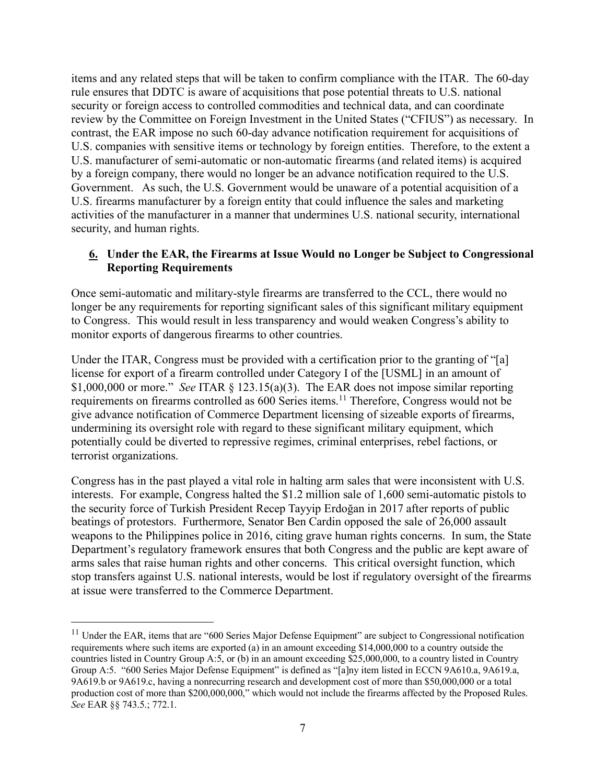items and any related steps that will be taken to confirm compliance with the ITAR. The 60-day rule ensures that DDTC is aware of acquisitions that pose potential threats to U.S. national security or foreign access to controlled commodities and technical data, and can coordinate review by the Committee on Foreign Investment in the United States ("CFIUS") as necessary. In contrast, the EAR impose no such 60-day advance notification requirement for acquisitions of U.S. companies with sensitive items or technology by foreign entities. Therefore, to the extent a U.S. manufacturer of semi-automatic or non-automatic firearms (and related items) is acquired by a foreign company, there would no longer be an advance notification required to the U.S. Government. As such, the U.S. Government would be unaware of a potential acquisition of a U.S. firearms manufacturer by a foreign entity that could influence the sales and marketing activities of the manufacturer in a manner that undermines U.S. national security, international security, and human rights.

# **6. Under the EAR, the Firearms at Issue Would no Longer be Subject to Congressional Reporting Requirements**

Once semi-automatic and military-style firearms are transferred to the CCL, there would no longer be any requirements for reporting significant sales of this significant military equipment to Congress. This would result in less transparency and would weaken Congress's ability to monitor exports of dangerous firearms to other countries.

Under the ITAR, Congress must be provided with a certification prior to the granting of "[a] license for export of a firearm controlled under Category I of the [USML] in an amount of \$1,000,000 or more." *See* ITAR § 123.15(a)(3). The EAR does not impose similar reporting requirements on firearms controlled as 600 Series items.<sup>11</sup> Therefore, Congress would not be give advance notification of Commerce Department licensing of sizeable exports of firearms, undermining its oversight role with regard to these significant military equipment, which potentially could be diverted to repressive regimes, criminal enterprises, rebel factions, or terrorist organizations.

Congress has in the past played a vital role in halting arm sales that were inconsistent with U.S. interests. For example, Congress halted the \$1.2 million sale of 1,600 semi-automatic pistols to the security force of Turkish President Recep Tayyip Erdoğan in 2017 after reports of public beatings of protestors. Furthermore, Senator Ben Cardin opposed the sale of 26,000 assault weapons to the Philippines police in 2016, citing grave human rights concerns. In sum, the State Department's regulatory framework ensures that both Congress and the public are kept aware of arms sales that raise human rights and other concerns. This critical oversight function, which stop transfers against U.S. national interests, would be lost if regulatory oversight of the firearms at issue were transferred to the Commerce Department.

<sup>&</sup>lt;sup>11</sup> Under the EAR, items that are "600 Series Major Defense Equipment" are subject to Congressional notification requirements where such items are exported (a) in an amount exceeding \$14,000,000 to a country outside the countries listed in Country Group A:5, or (b) in an amount exceeding \$25,000,000, to a country listed in Country Group A:5. "600 Series Major Defense Equipment" is defined as "[a]ny item listed in ECCN 9A610.a, 9A619.a, 9A619.b or 9A619.c, having a nonrecurring research and development cost of more than \$50,000,000 or a total production cost of more than \$200,000,000," which would not include the firearms affected by the Proposed Rules. *See* EAR §§ 743.5.; 772.1.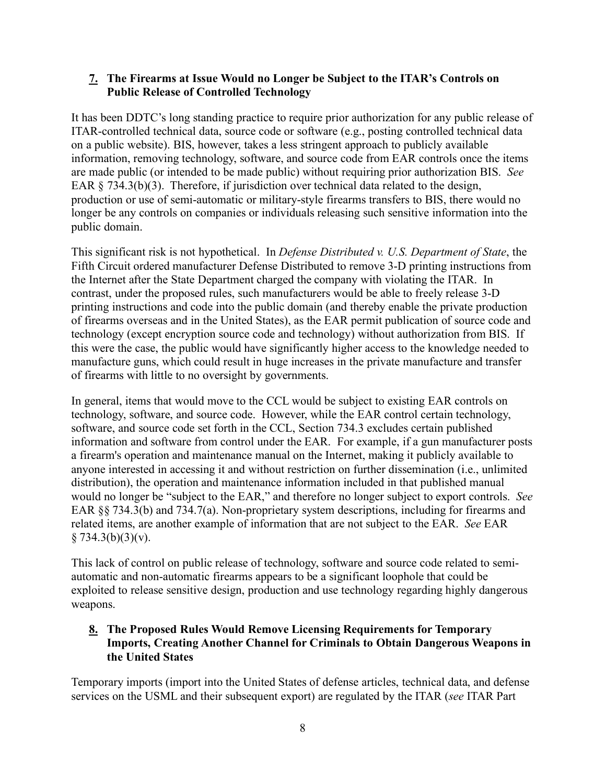#### **7. The Firearms at Issue Would no Longer be Subject to the ITAR's Controls on Public Release of Controlled Technology**

It has been DDTC's long standing practice to require prior authorization for any public release of ITAR-controlled technical data, source code or software (e.g., posting controlled technical data on a public website). BIS, however, takes a less stringent approach to publicly available information, removing technology, software, and source code from EAR controls once the items are made public (or intended to be made public) without requiring prior authorization BIS. *See* EAR § 734.3(b)(3). Therefore, if jurisdiction over technical data related to the design, production or use of semi-automatic or military-style firearms transfers to BIS, there would no longer be any controls on companies or individuals releasing such sensitive information into the public domain.

This significant risk is not hypothetical. In *Defense Distributed v. U.S. Department of State*, the Fifth Circuit ordered manufacturer Defense Distributed to remove 3-D printing instructions from the Internet after the State Department charged the company with violating the ITAR. In contrast, under the proposed rules, such manufacturers would be able to freely release 3-D printing instructions and code into the public domain (and thereby enable the private production of firearms overseas and in the United States), as the EAR permit publication of source code and technology (except encryption source code and technology) without authorization from BIS. If this were the case, the public would have significantly higher access to the knowledge needed to manufacture guns, which could result in huge increases in the private manufacture and transfer of firearms with little to no oversight by governments.

In general, items that would move to the CCL would be subject to existing EAR controls on technology, software, and source code. However, while the EAR control certain technology, software, and source code set forth in the CCL, Section 734.3 excludes certain published information and software from control under the EAR. For example, if a gun manufacturer posts a firearm's operation and maintenance manual on the Internet, making it publicly available to anyone interested in accessing it and without restriction on further dissemination (i.e., unlimited distribution), the operation and maintenance information included in that published manual would no longer be "subject to the EAR," and therefore no longer subject to export controls. *See* EAR §§ 734.3(b) and 734.7(a). Non-proprietary system descriptions, including for firearms and related items, are another example of information that are not subject to the EAR. *See* EAR  $§ 734.3(b)(3)(v).$ 

This lack of control on public release of technology, software and source code related to semiautomatic and non-automatic firearms appears to be a significant loophole that could be exploited to release sensitive design, production and use technology regarding highly dangerous weapons.

# **8. The Proposed Rules Would Remove Licensing Requirements for Temporary Imports, Creating Another Channel for Criminals to Obtain Dangerous Weapons in the United States**

Temporary imports (import into the United States of defense articles, technical data, and defense services on the USML and their subsequent export) are regulated by the ITAR (*see* ITAR Part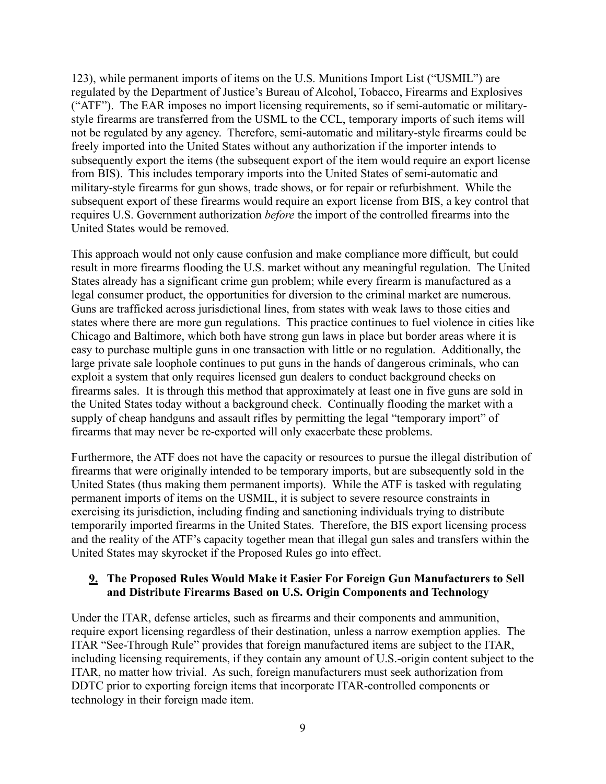123), while permanent imports of items on the U.S. Munitions Import List ("USMIL") are regulated by the Department of Justice's Bureau of Alcohol, Tobacco, Firearms and Explosives ("ATF"). The EAR imposes no import licensing requirements, so if semi-automatic or militarystyle firearms are transferred from the USML to the CCL, temporary imports of such items will not be regulated by any agency. Therefore, semi-automatic and military-style firearms could be freely imported into the United States without any authorization if the importer intends to subsequently export the items (the subsequent export of the item would require an export license from BIS). This includes temporary imports into the United States of semi-automatic and military-style firearms for gun shows, trade shows, or for repair or refurbishment. While the subsequent export of these firearms would require an export license from BIS, a key control that requires U.S. Government authorization *before* the import of the controlled firearms into the United States would be removed.

This approach would not only cause confusion and make compliance more difficult, but could result in more firearms flooding the U.S. market without any meaningful regulation. The United States already has a significant crime gun problem; while every firearm is manufactured as a legal consumer product, the opportunities for diversion to the criminal market are numerous. Guns are trafficked across jurisdictional lines, from states with weak laws to those cities and states where there are more gun regulations. This practice continues to fuel violence in cities like Chicago and Baltimore, which both have strong gun laws in place but border areas where it is easy to purchase multiple guns in one transaction with little or no regulation. Additionally, the large private sale loophole continues to put guns in the hands of dangerous criminals, who can exploit a system that only requires licensed gun dealers to conduct background checks on firearms sales. It is through this method that approximately at least one in five guns are sold in the United States today without a background check. Continually flooding the market with a supply of cheap handguns and assault rifles by permitting the legal "temporary import" of firearms that may never be re-exported will only exacerbate these problems.

Furthermore, the ATF does not have the capacity or resources to pursue the illegal distribution of firearms that were originally intended to be temporary imports, but are subsequently sold in the United States (thus making them permanent imports). While the ATF is tasked with regulating permanent imports of items on the USMIL, it is subject to severe resource constraints in exercising its jurisdiction, including finding and sanctioning individuals trying to distribute temporarily imported firearms in the United States. Therefore, the BIS export licensing process and the reality of the ATF's capacity together mean that illegal gun sales and transfers within the United States may skyrocket if the Proposed Rules go into effect.

#### **9. The Proposed Rules Would Make it Easier For Foreign Gun Manufacturers to Sell and Distribute Firearms Based on U.S. Origin Components and Technology**

Under the ITAR, defense articles, such as firearms and their components and ammunition, require export licensing regardless of their destination, unless a narrow exemption applies. The ITAR "See-Through Rule" provides that foreign manufactured items are subject to the ITAR, including licensing requirements, if they contain any amount of U.S.-origin content subject to the ITAR, no matter how trivial. As such, foreign manufacturers must seek authorization from DDTC prior to exporting foreign items that incorporate ITAR-controlled components or technology in their foreign made item.